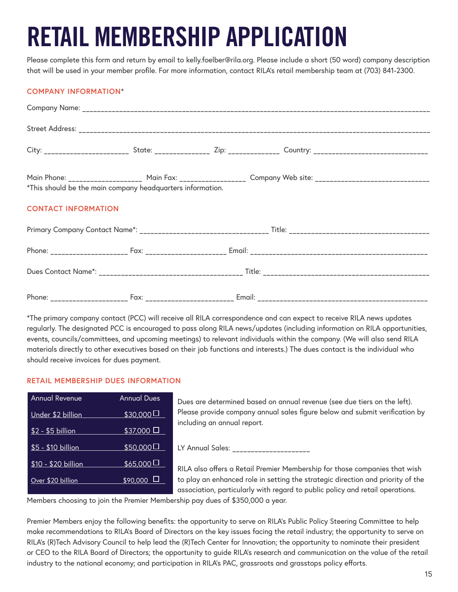# RETAIL MEMBERSHIP APPLICATION

Please complete this form and return by email to [kelly.foelber@rila.org](mailto:kelly.foelber@rila.org). Please include a short (50 word) company description that will be used in your member profile. For more information, contact RILA's retail membership team at (703) 841-2300.

## **COMPANY INFORMATION**\*

|                                                            |  |  | City: ________________________ State: ______________ Zip: ______________ Country: __________________________________ |  |  |  |
|------------------------------------------------------------|--|--|----------------------------------------------------------------------------------------------------------------------|--|--|--|
| *This should be the main company headquarters information. |  |  | Main Phone: ____________________ Main Fax: ___________________ Company Web site: _____________________________       |  |  |  |
| <b>CONTACT INFORMATION</b>                                 |  |  |                                                                                                                      |  |  |  |
|                                                            |  |  |                                                                                                                      |  |  |  |
|                                                            |  |  |                                                                                                                      |  |  |  |
|                                                            |  |  |                                                                                                                      |  |  |  |
|                                                            |  |  |                                                                                                                      |  |  |  |

\*The primary company contact (PCC) will receive all RILA correspondence and can expect to receive RILA news updates regularly. The designated PCC is encouraged to pass along RILA news/updates (including information on RILA opportunities, events, councils/committees, and upcoming meetings) to relevant individuals within the company. (We will also send RILA materials directly to other executives based on their job functions and interests.) The dues contact is the individual who should receive invoices for dues payment.

### **RETAIL MEMBERSHIP DUES INFORMATION**

| <b>Annual Revenue</b> | <b>Annual Dues</b>  | Dues are determined based on annual revenue (see due tiers on the left).                                                                                         |
|-----------------------|---------------------|------------------------------------------------------------------------------------------------------------------------------------------------------------------|
| Under \$2 billion     | $$30,000$ $\Box$    | Please provide company annual sales figure below and submit verification by<br>including an annual report.                                                       |
| $$2 - $5$ billion     | $$37,000$ $\square$ |                                                                                                                                                                  |
| \$5 - \$10 billion    | \$50,000            | LY Annual Sales:                                                                                                                                                 |
| \$10 - \$20 billion   | $$65,000$ $\Box$    | RILA also offers a Retail Premier Membership for those companies that wish                                                                                       |
| Over \$20 billion     | $$90,000$ $\Box$    | to play an enhanced role in setting the strategic direction and priority of the<br>association, particularly with regard to public policy and retail operations. |

Members choosing to join the Premier Membership pay dues of \$350,000 a year.

Premier Members enjoy the following benefits: the opportunity to serve on RILA's Public Policy Steering Committee to help make recommendations to RILA's Board of Directors on the key issues facing the retail industry; the opportunity to serve on RILA's (R)Tech Advisory Council to help lead the (R)Tech Center for Innovation; the opportunity to nominate their president or CEO to the RILA Board of Directors; the opportunity to guide RILA's research and communication on the value of the retail industry to the national economy; and participation in RILA's PAC, grassroots and grasstops policy efforts.